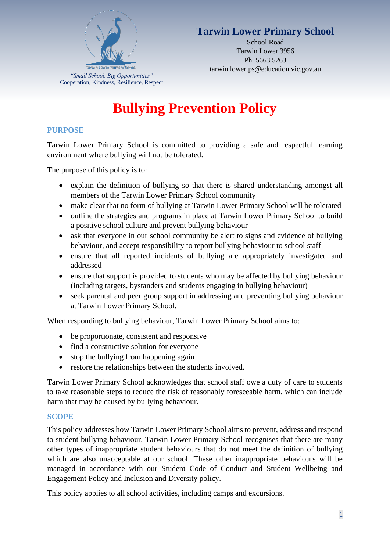

# **Tarwin Lower Primary School**

School Road Tarwin Lower 3956 Ph. 5663 5263 tarwin.lower.ps@education.vic.gov.au

# **Bullying Prevention Policy**

### **PURPOSE**

Tarwin Lower Primary School is committed to providing a safe and respectful learning environment where bullying will not be tolerated.

The purpose of this policy is to:

- explain the definition of bullying so that there is shared understanding amongst all members of the Tarwin Lower Primary School community
- make clear that no form of bullying at Tarwin Lower Primary School will be tolerated
- outline the strategies and programs in place at Tarwin Lower Primary School to build a positive school culture and prevent bullying behaviour
- ask that everyone in our school community be alert to signs and evidence of bullying behaviour, and accept responsibility to report bullying behaviour to school staff
- ensure that all reported incidents of bullying are appropriately investigated and addressed
- ensure that support is provided to students who may be affected by bullying behaviour (including targets, bystanders and students engaging in bullying behaviour)
- seek parental and peer group support in addressing and preventing bullying behaviour at Tarwin Lower Primary School.

When responding to bullying behaviour, Tarwin Lower Primary School aims to:

- be proportionate, consistent and responsive
- find a constructive solution for everyone
- stop the bullying from happening again
- restore the relationships between the students involved.

Tarwin Lower Primary School acknowledges that school staff owe a duty of care to students to take reasonable steps to reduce the risk of reasonably foreseeable harm, which can include harm that may be caused by bullying behaviour.

#### **SCOPE**

This policy addresses how Tarwin Lower Primary School aims to prevent, address and respond to student bullying behaviour. Tarwin Lower Primary School recognises that there are many other types of inappropriate student behaviours that do not meet the definition of bullying which are also unacceptable at our school. These other inappropriate behaviours will be managed in accordance with our Student Code of Conduct and Student Wellbeing and Engagement Policy and Inclusion and Diversity policy.

This policy applies to all school activities, including camps and excursions.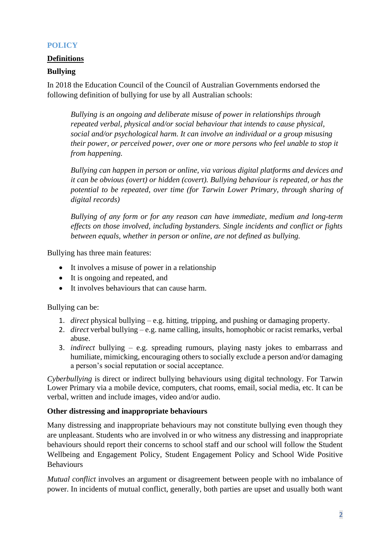#### **POLICY**

#### **Definitions**

#### **Bullying**

In 2018 the Education Council of the Council of Australian Governments endorsed the following definition of bullying for use by all Australian schools:

*Bullying is an ongoing and deliberate misuse of power in relationships through repeated verbal, physical and/or social behaviour that intends to cause physical, social and/or psychological harm. It can involve an individual or a group misusing their power, or perceived power, over one or more persons who feel unable to stop it from happening.*

*Bullying can happen in person or online, via various digital platforms and devices and it can be obvious (overt) or hidden (covert). Bullying behaviour is repeated, or has the potential to be repeated, over time (for Tarwin Lower Primary, through sharing of digital records)*

*Bullying of any form or for any reason can have immediate, medium and long-term effects on those involved, including bystanders. Single incidents and conflict or fights between equals, whether in person or online, are not defined as bullying.* 

Bullying has three main features:

- It involves a misuse of power in a relationship
- It is ongoing and repeated, and
- It involves behaviours that can cause harm.

Bullying can be:

- 1. *direct* physical bullying e.g. hitting, tripping, and pushing or damaging property.
- 2. *direct* verbal bullying e.g. name calling, insults, homophobic or racist remarks, verbal abuse.
- 3. *indirect* bullying e.g. spreading rumours, playing nasty jokes to embarrass and humiliate, mimicking, encouraging others to socially exclude a person and/or damaging a person's social reputation or social acceptance.

*Cyberbullying* is direct or indirect bullying behaviours using digital technology. For Tarwin Lower Primary via a mobile device, computers, chat rooms, email, social media, etc. It can be verbal, written and include images, video and/or audio.

#### **Other distressing and inappropriate behaviours**

Many distressing and inappropriate behaviours may not constitute bullying even though they are unpleasant. Students who are involved in or who witness any distressing and inappropriate behaviours should report their concerns to school staff and our school will follow the Student Wellbeing and Engagement Policy, Student Engagement Policy and School Wide Positive Behaviours

*Mutual conflict* involves an argument or disagreement between people with no imbalance of power. In incidents of mutual conflict, generally, both parties are upset and usually both want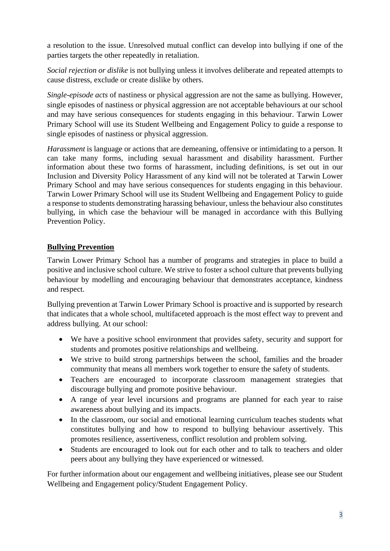a resolution to the issue. Unresolved mutual conflict can develop into bullying if one of the parties targets the other repeatedly in retaliation.

*Social rejection or dislike* is not bullying unless it involves deliberate and repeated attempts to cause distress, exclude or create dislike by others.

*Single-episode acts* of nastiness or physical aggression are not the same as bullying. However, single episodes of nastiness or physical aggression are not acceptable behaviours at our school and may have serious consequences for students engaging in this behaviour. Tarwin Lower Primary School will use its Student Wellbeing and Engagement Policy to guide a response to single episodes of nastiness or physical aggression.

*Harassment* is language or actions that are demeaning, offensive or intimidating to a person. It can take many forms, including sexual harassment and disability harassment. Further information about these two forms of harassment, including definitions, is set out in our Inclusion and Diversity Policy Harassment of any kind will not be tolerated at Tarwin Lower Primary School and may have serious consequences for students engaging in this behaviour. Tarwin Lower Primary School will use its Student Wellbeing and Engagement Policy to guide a response to students demonstrating harassing behaviour, unless the behaviour also constitutes bullying, in which case the behaviour will be managed in accordance with this Bullying Prevention Policy.

# **Bullying Prevention**

Tarwin Lower Primary School has a number of programs and strategies in place to build a positive and inclusive school culture. We strive to foster a school culture that prevents bullying behaviour by modelling and encouraging behaviour that demonstrates acceptance, kindness and respect.

Bullying prevention at Tarwin Lower Primary School is proactive and is supported by research that indicates that a whole school, multifaceted approach is the most effect way to prevent and address bullying. At our school:

- We have a positive school environment that provides safety, security and support for students and promotes positive relationships and wellbeing.
- We strive to build strong partnerships between the school, families and the broader community that means all members work together to ensure the safety of students.
- Teachers are encouraged to incorporate classroom management strategies that discourage bullying and promote positive behaviour.
- A range of year level incursions and programs are planned for each year to raise awareness about bullying and its impacts.
- In the classroom, our social and emotional learning curriculum teaches students what constitutes bullying and how to respond to bullying behaviour assertively. This promotes resilience, assertiveness, conflict resolution and problem solving.
- Students are encouraged to look out for each other and to talk to teachers and older peers about any bullying they have experienced or witnessed.

For further information about our engagement and wellbeing initiatives, please see our Student Wellbeing and Engagement policy/Student Engagement Policy.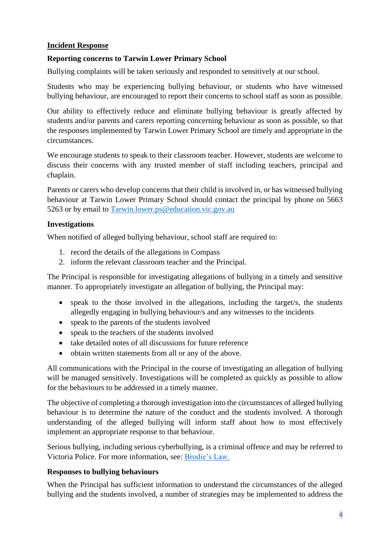### **Incident Response**

# **Reporting concerns to Tarwin Lower Primary School**

Bullying complaints will be taken seriously and responded to sensitively at our school.

Students who may be experiencing bullying behaviour, or students who have witnessed bullying behaviour, are encouraged to report their concerns to school staff as soon as possible.

Our ability to effectively reduce and eliminate bullying behaviour is greatly affected by students and/or parents and carers reporting concerning behaviour as soon as possible, so that the responses implemented by Tarwin Lower Primary School are timely and appropriate in the circumstances.

We encourage students to speak to their classroom teacher. However, students are welcome to discuss their concerns with any trusted member of staff including teachers, principal and chaplain.

Parents or carers who develop concerns that their child is involved in, or has witnessed bullying behaviour at Tarwin Lower Primary School should contact the principal by phone on 5663 5263 or by email to [Tarwin.lower.ps@education.vic.gov.au](mailto:Tarwin.lower.ps@education.vic.gov.au)

# **Investigations**

When notified of alleged bullying behaviour, school staff are required to:

- 1. record the details of the allegations in Compass
- 2. inform the relevant classroom teacher and the Principal.

The Principal is responsible for investigating allegations of bullying in a timely and sensitive manner. To appropriately investigate an allegation of bullying, the Principal may:

- speak to the those involved in the allegations, including the target's, the students allegedly engaging in bullying behaviour/s and any witnesses to the incidents
- speak to the parents of the students involved
- speak to the teachers of the students involved
- take detailed notes of all discussions for future reference
- obtain written statements from all or any of the above.

All communications with the Principal in the course of investigating an allegation of bullying will be managed sensitively. Investigations will be completed as quickly as possible to allow for the behaviours to be addressed in a timely manner.

The objective of completing a thorough investigation into the circumstances of alleged bullying behaviour is to determine the nature of the conduct and the students involved. A thorough understanding of the alleged bullying will inform staff about how to most effectively implement an appropriate response to that behaviour.

Serious bullying, including serious cyberbullying, is a criminal offence and may be referred to Victoria Police. For more information, see: [Brodie's Law.](http://www.education.vic.gov.au/about/programs/bullystoppers/Pages/advicesheetbrodieslaw.aspx)

#### **Responses to bullying behaviours**

When the Principal has sufficient information to understand the circumstances of the alleged bullying and the students involved, a number of strategies may be implemented to address the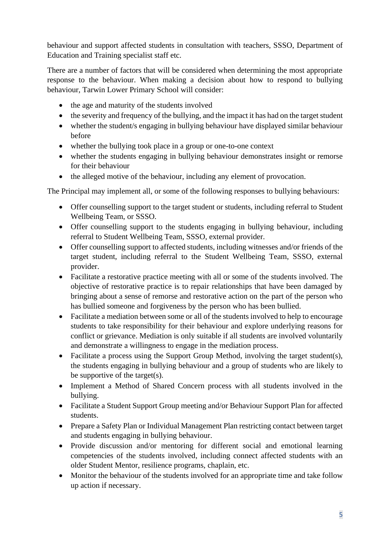behaviour and support affected students in consultation with teachers, SSSO, Department of Education and Training specialist staff etc.

There are a number of factors that will be considered when determining the most appropriate response to the behaviour. When making a decision about how to respond to bullying behaviour, Tarwin Lower Primary School will consider:

- the age and maturity of the students involved
- the severity and frequency of the bullying, and the impact it has had on the target student
- whether the student/s engaging in bullying behaviour have displayed similar behaviour before
- whether the bullying took place in a group or one-to-one context
- whether the students engaging in bullying behaviour demonstrates insight or remorse for their behaviour
- the alleged motive of the behaviour, including any element of provocation.

The Principal may implement all, or some of the following responses to bullying behaviours:

- Offer counselling support to the target student or students, including referral to Student Wellbeing Team, or SSSO.
- Offer counselling support to the students engaging in bullying behaviour, including referral to Student Wellbeing Team, SSSO, external provider.
- Offer counselling support to affected students, including witnesses and/or friends of the target student, including referral to the Student Wellbeing Team, SSSO, external provider.
- Facilitate a restorative practice meeting with all or some of the students involved. The objective of restorative practice is to repair relationships that have been damaged by bringing about a sense of remorse and restorative action on the part of the person who has bullied someone and forgiveness by the person who has been bullied.
- Facilitate a mediation between some or all of the students involved to help to encourage students to take responsibility for their behaviour and explore underlying reasons for conflict or grievance. Mediation is only suitable if all students are involved voluntarily and demonstrate a willingness to engage in the mediation process.
- Facilitate a process using the Support Group Method, involving the target student(s), the students engaging in bullying behaviour and a group of students who are likely to be supportive of the target(s).
- Implement a Method of Shared Concern process with all students involved in the bullying.
- Facilitate a Student Support Group meeting and/or Behaviour Support Plan for affected students.
- Prepare a Safety Plan or Individual Management Plan restricting contact between target and students engaging in bullying behaviour.
- Provide discussion and/or mentoring for different social and emotional learning competencies of the students involved, including connect affected students with an older Student Mentor, resilience programs, chaplain, etc.
- Monitor the behaviour of the students involved for an appropriate time and take follow up action if necessary.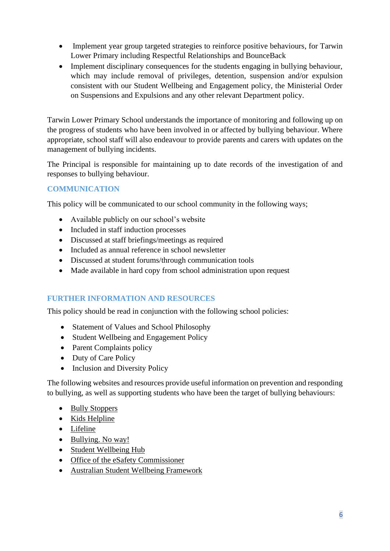- Implement year group targeted strategies to reinforce positive behaviours, for Tarwin Lower Primary including Respectful Relationships and BounceBack
- Implement disciplinary consequences for the students engaging in bullying behaviour, which may include removal of privileges, detention, suspension and/or expulsion consistent with our Student Wellbeing and Engagement policy, the Ministerial Order on Suspensions and Expulsions and any other relevant Department policy.

Tarwin Lower Primary School understands the importance of monitoring and following up on the progress of students who have been involved in or affected by bullying behaviour. Where appropriate, school staff will also endeavour to provide parents and carers with updates on the management of bullying incidents.

The Principal is responsible for maintaining up to date records of the investigation of and responses to bullying behaviour.

# **COMMUNICATION**

This policy will be communicated to our school community in the following ways;

- Available publicly on our school's website
- Included in staff induction processes
- Discussed at staff briefings/meetings as required
- Included as annual reference in school newsletter
- Discussed at student forums/through communication tools
- Made available in hard copy from school administration upon request

#### **FURTHER INFORMATION AND RESOURCES**

This policy should be read in conjunction with the following school policies:

- Statement of Values and School Philosophy
- Student Wellbeing and Engagement Policy
- Parent Complaints policy
- Duty of Care Policy
- Inclusion and Diversity Policy

The following websites and resources provide useful information on prevention and responding to bullying, as well as supporting students who have been the target of bullying behaviours:

- [Bully Stoppers](https://www.education.vic.gov.au/about/programs/bullystoppers/Pages/default.aspx)
- Kids [Helpline](https://kidshelpline.com.au/)
- [Lifeline](https://www.lifeline.org.au/)
- [Bullying. No way!](https://bullyingnoway.gov.au/)
- [Student Wellbeing Hub](https://www.studentwellbeinghub.edu.au/)
- [Office of the eSafety Commissioner](https://www.esafety.gov.au/)
- [Australian Student Wellbeing Framework](https://studentwellbeinghub.edu.au/educators/resources/australian-student-wellbeing-framework/)